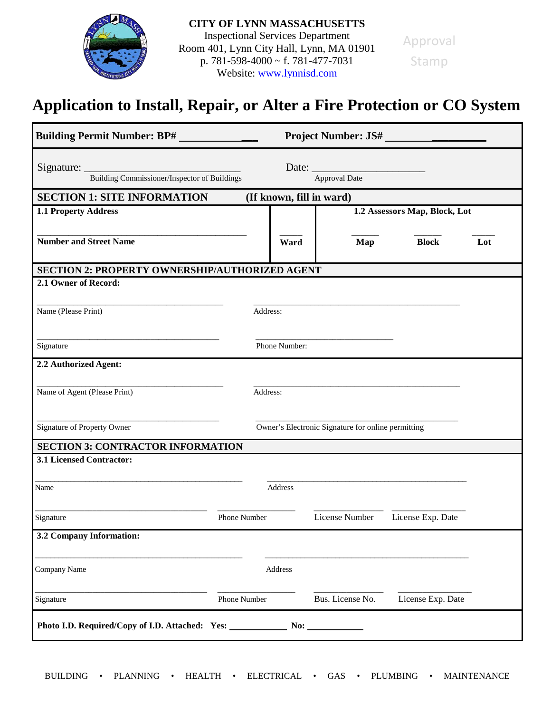

## **Application to Install, Repair, or Alter a Fire Protection or CO System**

| <b>Building Permit Number: BP#</b>                      |                                                    | <b>Project Number: JS#</b> |                  |                               |     |
|---------------------------------------------------------|----------------------------------------------------|----------------------------|------------------|-------------------------------|-----|
| Signature: Building Commissioner/Inspector of Buildings |                                                    |                            | Approval Date    |                               |     |
| <b>SECTION 1: SITE INFORMATION</b>                      |                                                    | (If known, fill in ward)   |                  |                               |     |
| <b>1.1 Property Address</b>                             |                                                    |                            |                  | 1.2 Assessors Map, Block, Lot |     |
| <b>Number and Street Name</b>                           |                                                    | Ward                       | Map              | <b>Block</b>                  | Lot |
| <b>SECTION 2: PROPERTY OWNERSHIP/AUTHORIZED AGENT</b>   |                                                    |                            |                  |                               |     |
| 2.1 Owner of Record:                                    |                                                    |                            |                  |                               |     |
|                                                         |                                                    |                            |                  |                               |     |
| Name (Please Print)                                     | Address:                                           |                            |                  |                               |     |
|                                                         |                                                    |                            |                  |                               |     |
| Signature                                               |                                                    | Phone Number:              |                  |                               |     |
|                                                         |                                                    |                            |                  |                               |     |
| 2.2 Authorized Agent:                                   |                                                    |                            |                  |                               |     |
|                                                         |                                                    |                            |                  |                               |     |
| Name of Agent (Please Print)                            | Address:                                           |                            |                  |                               |     |
|                                                         |                                                    |                            |                  |                               |     |
| Signature of Property Owner                             | Owner's Electronic Signature for online permitting |                            |                  |                               |     |
| <b>SECTION 3: CONTRACTOR INFORMATION</b>                |                                                    |                            |                  |                               |     |
| 3.1 Licensed Contractor:                                |                                                    |                            |                  |                               |     |
|                                                         |                                                    |                            |                  |                               |     |
| Name                                                    |                                                    | Address                    |                  |                               |     |
|                                                         |                                                    |                            |                  |                               |     |
| Signature                                               | Phone Number                                       |                            | License Number   | License Exp. Date             |     |
| 3.2 Company Information:                                |                                                    |                            |                  |                               |     |
|                                                         |                                                    |                            |                  |                               |     |
| Company Name                                            |                                                    | Address                    |                  |                               |     |
| Signature                                               | Phone Number                                       |                            | Bus. License No. | License Exp. Date             |     |
| Photo I.D. Required/Copy of I.D. Attached: Yes:         |                                                    | No:                        |                  |                               |     |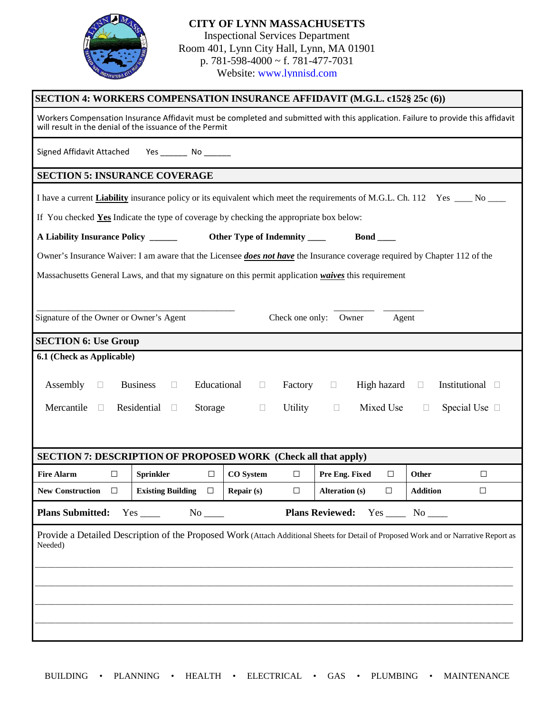

| SECTION 4: WORKERS COMPENSATION INSURANCE AFFIDAVIT (M.G.L. c152§ 25c (6))                                                                                                                   |                                                                                                                                  |                               |                                 |                                                                                                                                       |  |
|----------------------------------------------------------------------------------------------------------------------------------------------------------------------------------------------|----------------------------------------------------------------------------------------------------------------------------------|-------------------------------|---------------------------------|---------------------------------------------------------------------------------------------------------------------------------------|--|
| Workers Compensation Insurance Affidavit must be completed and submitted with this application. Failure to provide this affidavit<br>will result in the denial of the issuance of the Permit |                                                                                                                                  |                               |                                 |                                                                                                                                       |  |
| Signed Affidavit Attached Yes _______ No ______                                                                                                                                              |                                                                                                                                  |                               |                                 |                                                                                                                                       |  |
| <b>SECTION 5: INSURANCE COVERAGE</b>                                                                                                                                                         |                                                                                                                                  |                               |                                 |                                                                                                                                       |  |
|                                                                                                                                                                                              |                                                                                                                                  |                               |                                 | I have a current <b>Liability</b> insurance policy or its equivalent which meet the requirements of M.G.L. Ch. 112 Yes _____ No _____ |  |
| If You checked Yes Indicate the type of coverage by checking the appropriate box below:                                                                                                      |                                                                                                                                  |                               |                                 |                                                                                                                                       |  |
| A Liability Insurance Policy ______                                                                                                                                                          |                                                                                                                                  | Other Type of Indemnity _____ | $Bond \_\_$                     |                                                                                                                                       |  |
| Owner's Insurance Waiver: I am aware that the Licensee <i>does not have</i> the Insurance coverage required by Chapter 112 of the                                                            |                                                                                                                                  |                               |                                 |                                                                                                                                       |  |
| Massachusetts General Laws, and that my signature on this permit application waives this requirement                                                                                         |                                                                                                                                  |                               |                                 |                                                                                                                                       |  |
|                                                                                                                                                                                              |                                                                                                                                  |                               |                                 |                                                                                                                                       |  |
| Signature of the Owner or Owner's Agent<br>Check one only:<br>Owner<br>Agent                                                                                                                 |                                                                                                                                  |                               |                                 |                                                                                                                                       |  |
| <b>SECTION 6: Use Group</b>                                                                                                                                                                  |                                                                                                                                  |                               |                                 |                                                                                                                                       |  |
| 6.1 (Check as Applicable)                                                                                                                                                                    |                                                                                                                                  |                               |                                 |                                                                                                                                       |  |
| Assembly<br>$\Box$                                                                                                                                                                           | Educational<br><b>Business</b><br>High hazard<br>Institutional $\Box$<br>Factory<br>$\Box$<br>$\Box$<br>$\mathbb{R}^n$<br>$\Box$ |                               |                                 |                                                                                                                                       |  |
|                                                                                                                                                                                              |                                                                                                                                  |                               |                                 |                                                                                                                                       |  |
| Mercantile<br>$\Box$                                                                                                                                                                         | Residential<br>Storage<br>$\Box$                                                                                                 | Utility<br>$\Box$             | Mixed Use<br>$\Box$             | Special Use □<br>$\Box$                                                                                                               |  |
|                                                                                                                                                                                              |                                                                                                                                  |                               |                                 |                                                                                                                                       |  |
| <b>SECTION 7: DESCRIPTION OF PROPOSED WORK (Check all that apply)</b>                                                                                                                        |                                                                                                                                  |                               |                                 |                                                                                                                                       |  |
| <b>Fire Alarm</b><br>$\Box$                                                                                                                                                                  | <b>Sprinkler</b><br>$\Box$                                                                                                       | <b>CO</b> System<br>$\Box$    | Pre Eng. Fixed<br>□             | Other<br>$\Box$                                                                                                                       |  |
| <b>New Construction</b><br>$\Box$                                                                                                                                                            | <b>Existing Building</b><br>$\Box$                                                                                               | Repair (s)<br>$\Box$          | $\Box$<br><b>Alteration (s)</b> | <b>Addition</b><br>$\Box$                                                                                                             |  |
| <b>Plans Submitted:</b><br>Plans Reviewed: Yes _____ No ____                                                                                                                                 |                                                                                                                                  |                               |                                 |                                                                                                                                       |  |
| Provide a Detailed Description of the Proposed Work (Attach Additional Sheets for Detail of Proposed Work and or Narrative Report as<br>Needed)                                              |                                                                                                                                  |                               |                                 |                                                                                                                                       |  |
|                                                                                                                                                                                              |                                                                                                                                  |                               |                                 |                                                                                                                                       |  |
|                                                                                                                                                                                              |                                                                                                                                  |                               |                                 |                                                                                                                                       |  |
|                                                                                                                                                                                              |                                                                                                                                  |                               |                                 |                                                                                                                                       |  |
|                                                                                                                                                                                              |                                                                                                                                  |                               |                                 |                                                                                                                                       |  |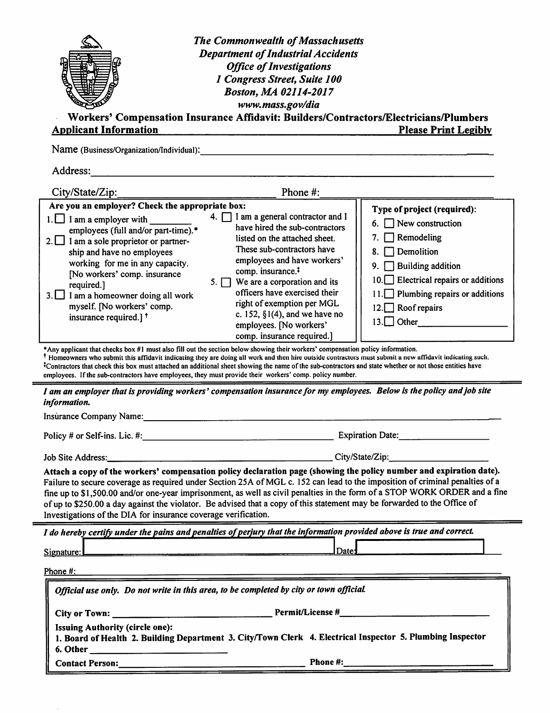| <b>Applicant Information</b>                                                                                                                                                                                                                                                                                                                                                                                                                                                                                                                                                                                         | <b>The Commonwealth of Massachusetts</b><br><b>Department of Industrial Accidents</b><br><b>Office of Investigations</b><br>1 Congress Street, Suite 100<br>Boston, MA 02114-2017<br>www.mass.gov/dia<br>Workers' Compensation Insurance Affidavit: Builders/Contractors/Electricians/Plumbers                                                                                                                    | <b>Please Print Legibly</b>                                                                                                                                                                                                                                |
|----------------------------------------------------------------------------------------------------------------------------------------------------------------------------------------------------------------------------------------------------------------------------------------------------------------------------------------------------------------------------------------------------------------------------------------------------------------------------------------------------------------------------------------------------------------------------------------------------------------------|-------------------------------------------------------------------------------------------------------------------------------------------------------------------------------------------------------------------------------------------------------------------------------------------------------------------------------------------------------------------------------------------------------------------|------------------------------------------------------------------------------------------------------------------------------------------------------------------------------------------------------------------------------------------------------------|
| Name (Business/Organization/Individual):                                                                                                                                                                                                                                                                                                                                                                                                                                                                                                                                                                             |                                                                                                                                                                                                                                                                                                                                                                                                                   |                                                                                                                                                                                                                                                            |
| Address:                                                                                                                                                                                                                                                                                                                                                                                                                                                                                                                                                                                                             |                                                                                                                                                                                                                                                                                                                                                                                                                   |                                                                                                                                                                                                                                                            |
| City/State/Zip:                                                                                                                                                                                                                                                                                                                                                                                                                                                                                                                                                                                                      | Phone #:                                                                                                                                                                                                                                                                                                                                                                                                          |                                                                                                                                                                                                                                                            |
| Are you an employer? Check the appropriate box:<br>$1.$ I am a employer with<br>employees (full and/or part-time).*<br>$2.$ I am a sole proprietor or partner-<br>ship and have no employees<br>working for me in any capacity.<br>[No workers' comp. insurance<br>required.]<br>$3.$ I am a homeowner doing all work<br>myself. [No workers' comp.<br>insurance required.] <sup>†</sup><br>*Any applicant that checks box #1 must also fill out the section below showing their workers' compensation policy information.                                                                                           | 4. $\Box$ I am a general contractor and I<br>have hired the sub-contractors<br>listed on the attached sheet.<br>These sub-contractors have<br>employees and have workers'<br>comp. insurance. <sup>‡</sup><br>5. $\Box$ We are a corporation and its<br>officers have exercised their<br>right of exemption per MGL<br>c. 152, $\S1(4)$ , and we have no<br>employees. [No workers'<br>comp. insurance required.] | Type of project (required):<br>$\Box$ New construction<br>6.<br>$\Box$ Remodeling<br>Demolition<br>8<br><b>Building addition</b><br>9.<br>$10.$ Electrical repairs or additions<br>$\Box$ Plumbing repairs or additions<br>12. Roof repairs<br>$13.$ Other |
| <sup>†</sup> Homeowners who submit this affidavit indicating they are doing all work and then hire outside contractors must submit a new affidavit indicating such.<br><sup>‡</sup> Contractors that check this box must attached an additional sheet showing the name of the sub-contractors and state whether or not those entities have<br>employees. If the sub-contractors have employees, they must provide their workers' comp. policy number.<br>I am an employer that is providing workers' compensation insurance for my employees. Below is the policy and job site                                       |                                                                                                                                                                                                                                                                                                                                                                                                                   |                                                                                                                                                                                                                                                            |
| information.                                                                                                                                                                                                                                                                                                                                                                                                                                                                                                                                                                                                         |                                                                                                                                                                                                                                                                                                                                                                                                                   |                                                                                                                                                                                                                                                            |
| Insurance Company Name:                                                                                                                                                                                                                                                                                                                                                                                                                                                                                                                                                                                              |                                                                                                                                                                                                                                                                                                                                                                                                                   |                                                                                                                                                                                                                                                            |
|                                                                                                                                                                                                                                                                                                                                                                                                                                                                                                                                                                                                                      |                                                                                                                                                                                                                                                                                                                                                                                                                   |                                                                                                                                                                                                                                                            |
| Job Site Address: City/State/Zip:<br>Attach a copy of the workers' compensation policy declaration page (showing the policy number and expiration date).<br>Failure to secure coverage as required under Section 25A of MGL c. 152 can lead to the imposition of criminal penalties of a<br>fine up to \$1,500.00 and/or one-year imprisonment, as well as civil penalties in the form of a STOP WORK ORDER and a fine<br>of up to \$250.00 a day against the violator. Be advised that a copy of this statement may be forwarded to the Office of<br>Investigations of the DIA for insurance coverage verification. |                                                                                                                                                                                                                                                                                                                                                                                                                   |                                                                                                                                                                                                                                                            |
| I do hereby certify under the pains and penalties of perjury that the information provided above is true and correct.                                                                                                                                                                                                                                                                                                                                                                                                                                                                                                |                                                                                                                                                                                                                                                                                                                                                                                                                   |                                                                                                                                                                                                                                                            |
| Signature:                                                                                                                                                                                                                                                                                                                                                                                                                                                                                                                                                                                                           | Date:                                                                                                                                                                                                                                                                                                                                                                                                             |                                                                                                                                                                                                                                                            |
| Phone $#$ :                                                                                                                                                                                                                                                                                                                                                                                                                                                                                                                                                                                                          | <u> 1989 - Johann Marie Barn, mars an t-Amerikaansk kommunister (</u>                                                                                                                                                                                                                                                                                                                                             |                                                                                                                                                                                                                                                            |
| Official use only. Do not write in this area, to be completed by city or town official.                                                                                                                                                                                                                                                                                                                                                                                                                                                                                                                              |                                                                                                                                                                                                                                                                                                                                                                                                                   |                                                                                                                                                                                                                                                            |
| <b>Issuing Authority (circle one):</b><br>1. Board of Health 2. Building Department 3. City/Town Clerk 4. Electrical Inspector 5. Plumbing Inspector                                                                                                                                                                                                                                                                                                                                                                                                                                                                 |                                                                                                                                                                                                                                                                                                                                                                                                                   |                                                                                                                                                                                                                                                            |
|                                                                                                                                                                                                                                                                                                                                                                                                                                                                                                                                                                                                                      | Contact Person: Phone #:                                                                                                                                                                                                                                                                                                                                                                                          |                                                                                                                                                                                                                                                            |